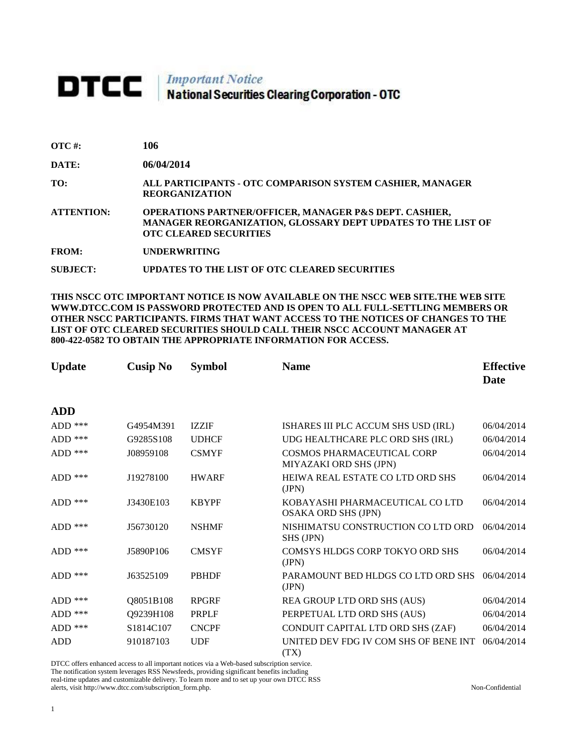## **DTCC** National Securities Clearing Corporation - OTC

| OTC #:            | 106                                                                                                                                                                |
|-------------------|--------------------------------------------------------------------------------------------------------------------------------------------------------------------|
| DATE:             | 06/04/2014                                                                                                                                                         |
| TO:               | ALL PARTICIPANTS - OTC COMPARISON SYSTEM CASHIER, MANAGER<br><b>REORGANIZATION</b>                                                                                 |
| <b>ATTENTION:</b> | <b>OPERATIONS PARTNER/OFFICER, MANAGER P&amp;S DEPT. CASHIER,</b><br>MANAGER REORGANIZATION, GLOSSARY DEPT UPDATES TO THE LIST OF<br><b>OTC CLEARED SECURITIES</b> |
| <b>***</b>        | <b>******************</b>                                                                                                                                          |

**FROM: UNDERWRITING**

**SUBJECT: UPDATES TO THE LIST OF OTC CLEARED SECURITIES**

**THIS NSCC OTC IMPORTANT NOTICE IS NOW AVAILABLE ON THE NSCC WEB SITE.THE WEB SITE WWW.DTCC.COM IS PASSWORD PROTECTED AND IS OPEN TO ALL FULL-SETTLING MEMBERS OR OTHER NSCC PARTICIPANTS. FIRMS THAT WANT ACCESS TO THE NOTICES OF CHANGES TO THE LIST OF OTC CLEARED SECURITIES SHOULD CALL THEIR NSCC ACCOUNT MANAGER AT 800-422-0582 TO OBTAIN THE APPROPRIATE INFORMATION FOR ACCESS.** 

| <b>Update</b> | <b>Cusip No</b> | <b>Symbol</b> | <b>Name</b>                                                   | <b>Effective</b><br><b>Date</b> |
|---------------|-----------------|---------------|---------------------------------------------------------------|---------------------------------|
| <b>ADD</b>    |                 |               |                                                               |                                 |
| $ADD$ ***     | G4954M391       | <b>IZZIF</b>  | ISHARES III PLC ACCUM SHS USD (IRL)                           | 06/04/2014                      |
| $ADD$ ***     | G9285S108       | <b>UDHCF</b>  | UDG HEALTHCARE PLC ORD SHS (IRL)                              | 06/04/2014                      |
| $ADD$ ***     | J08959108       | <b>CSMYF</b>  | COSMOS PHARMACEUTICAL CORP<br>MIYAZAKI ORD SHS (JPN)          | 06/04/2014                      |
| $ADD$ ***     | J19278100       | <b>HWARF</b>  | HEIWA REAL ESTATE CO LTD ORD SHS<br>(IPN)                     | 06/04/2014                      |
| $ADD$ ***     | J3430E103       | <b>KBYPF</b>  | KOBAYASHI PHARMACEUTICAL CO LTD<br><b>OSAKA ORD SHS (JPN)</b> | 06/04/2014                      |
| ADD ***       | J56730120       | <b>NSHMF</b>  | NISHIMATSU CONSTRUCTION CO LTD ORD<br>SHS (JPN)               | 06/04/2014                      |
| $ADD$ ***     | J5890P106       | <b>CMSYF</b>  | COMSYS HLDGS CORP TOKYO ORD SHS<br>(IPN)                      | 06/04/2014                      |
| $ADD$ ***     | J63525109       | <b>PBHDF</b>  | PARAMOUNT BED HLDGS CO LTD ORD SHS<br>(IPN)                   | 06/04/2014                      |
| ADD ***       | Q8051B108       | <b>RPGRF</b>  | REA GROUP LTD ORD SHS (AUS)                                   | 06/04/2014                      |
| ADD ***       | Q9239H108       | <b>PRPLF</b>  | PERPETUAL LTD ORD SHS (AUS)                                   | 06/04/2014                      |
| $ADD$ ***     | S1814C107       | <b>CNCPF</b>  | CONDUIT CAPITAL LTD ORD SHS (ZAF)                             | 06/04/2014                      |
| <b>ADD</b>    | 910187103       | <b>UDF</b>    | UNITED DEV FDG IV COM SHS OF BENE INT<br>(TX)                 | 06/04/2014                      |

DTCC offers enhanced access to all important notices via a Web-based subscription service. The notification system leverages RSS Newsfeeds, providing significant benefits including real-time updates and customizable delivery. To learn more and to set up your own DTCC RSS alerts, visit http://www.dtcc.com/subscription\_form.php. Non-Confidential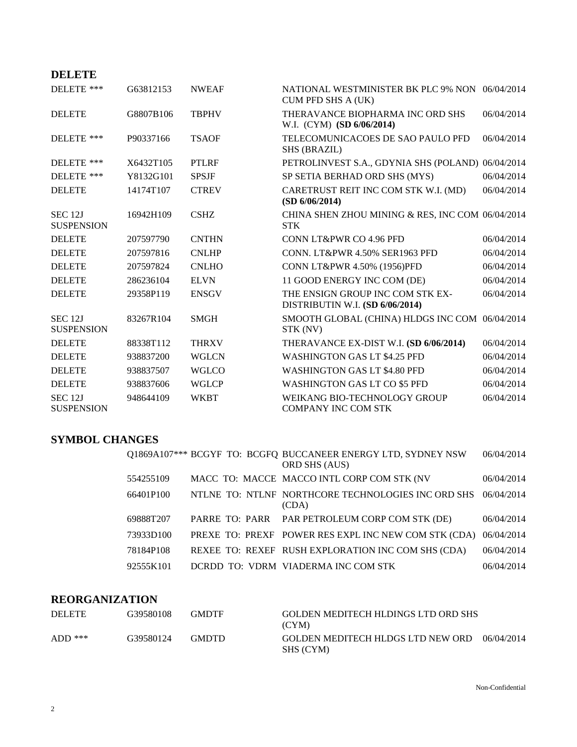## **DELETE**

| DELETE ***                          | G63812153 | <b>NWEAF</b> | NATIONAL WESTMINISTER BK PLC 9% NON 06/04/2014<br>CUM PFD SHS A (UK) |            |
|-------------------------------------|-----------|--------------|----------------------------------------------------------------------|------------|
| <b>DELETE</b>                       | G8807B106 | <b>TBPHV</b> | THERAVANCE BIOPHARMA INC ORD SHS<br>W.I. (CYM) (SD 6/06/2014)        | 06/04/2014 |
| DELETE ***                          | P90337166 | <b>TSAOF</b> | TELECOMUNICACOES DE SAO PAULO PFD<br><b>SHS (BRAZIL)</b>             | 06/04/2014 |
| DELETE ***                          | X6432T105 | <b>PTLRF</b> | PETROLINVEST S.A., GDYNIA SHS (POLAND)                               | 06/04/2014 |
| DELETE ***                          | Y8132G101 | <b>SPSJF</b> | SP SETIA BERHAD ORD SHS (MYS)                                        | 06/04/2014 |
| <b>DELETE</b>                       | 14174T107 | <b>CTREV</b> | CARETRUST REIT INC COM STK W.I. (MD)<br>(SD 6/06/2014)               | 06/04/2014 |
| <b>SEC 12J</b><br><b>SUSPENSION</b> | 16942H109 | <b>CSHZ</b>  | CHINA SHEN ZHOU MINING & RES, INC COM 06/04/2014<br><b>STK</b>       |            |
| <b>DELETE</b>                       | 207597790 | <b>CNTHN</b> | CONN LT&PWR CO 4.96 PFD                                              | 06/04/2014 |
| <b>DELETE</b>                       | 207597816 | <b>CNLHP</b> | <b>CONN. LT&amp;PWR 4.50% SER1963 PFD</b>                            | 06/04/2014 |
| <b>DELETE</b>                       | 207597824 | <b>CNLHO</b> | <b>CONN LT&amp;PWR 4.50% (1956)PFD</b>                               | 06/04/2014 |
| <b>DELETE</b>                       | 286236104 | <b>ELVN</b>  | 11 GOOD ENERGY INC COM (DE)                                          | 06/04/2014 |
| <b>DELETE</b>                       | 29358P119 | <b>ENSGV</b> | THE ENSIGN GROUP INC COM STK EX-<br>DISTRIBUTIN W.I. (SD 6/06/2014)  | 06/04/2014 |
| <b>SEC 12J</b><br><b>SUSPENSION</b> | 83267R104 | <b>SMGH</b>  | SMOOTH GLOBAL (CHINA) HLDGS INC COM 06/04/2014<br>STK (NV)           |            |
| <b>DELETE</b>                       | 88338T112 | <b>THRXV</b> | THERAVANCE EX-DIST W.I. (SD 6/06/2014)                               | 06/04/2014 |
| <b>DELETE</b>                       | 938837200 | <b>WGLCN</b> | <b>WASHINGTON GAS LT \$4.25 PFD</b>                                  | 06/04/2014 |
| <b>DELETE</b>                       | 938837507 | <b>WGLCO</b> | <b>WASHINGTON GAS LT \$4.80 PFD</b>                                  | 06/04/2014 |
| <b>DELETE</b>                       | 938837606 | <b>WGLCP</b> | <b>WASHINGTON GAS LT CO \$5 PFD</b>                                  | 06/04/2014 |
| <b>SEC 12J</b><br><b>SUSPENSION</b> | 948644109 | <b>WKBT</b>  | WEIKANG BIO-TECHNOLOGY GROUP<br><b>COMPANY INC COM STK</b>           | 06/04/2014 |

## **SYMBOL CHANGES**

|           | Q1869A107*** BCGYF TO: BCGFQ BUCCANEER ENERGY LTD, SYDNEY NSW<br><b>ORD SHS (AUS)</b> | 06/04/2014 |
|-----------|---------------------------------------------------------------------------------------|------------|
| 554255109 | MACC TO: MACCE MACCO INTL CORP COM STK (NV                                            | 06/04/2014 |
| 66401P100 | NTLNE TO: NTLNF NORTHCORE TECHNOLOGIES INC ORD SHS<br>(CDA)                           | 06/04/2014 |
| 69888T207 | PARRE TO: PARR PAR PETROLEUM CORP COM STK (DE)                                        | 06/04/2014 |
| 73933D100 | PREXE TO: PREXF POWER RES EXPL INC NEW COM STK (CDA)                                  | 06/04/2014 |
| 78184P108 | REXEE TO: REXEF RUSH EXPLORATION INC COM SHS (CDA)                                    | 06/04/2014 |
| 92555K101 | DCRDD TO: VDRM VIADERMA INC COM STK                                                   | 06/04/2014 |

## **REORGANIZATION**

| <b>DELETE</b> | G39580108 | <b>GMDTF</b> | GOLDEN MEDITECH HLDINGS LTD ORD SHS<br>(CYM)   |            |
|---------------|-----------|--------------|------------------------------------------------|------------|
| $ADD$ ***     | G39580124 | <b>GMDTD</b> | GOLDEN MEDITECH HLDGS LTD NEW ORD<br>SHS (CYM) | 06/04/2014 |